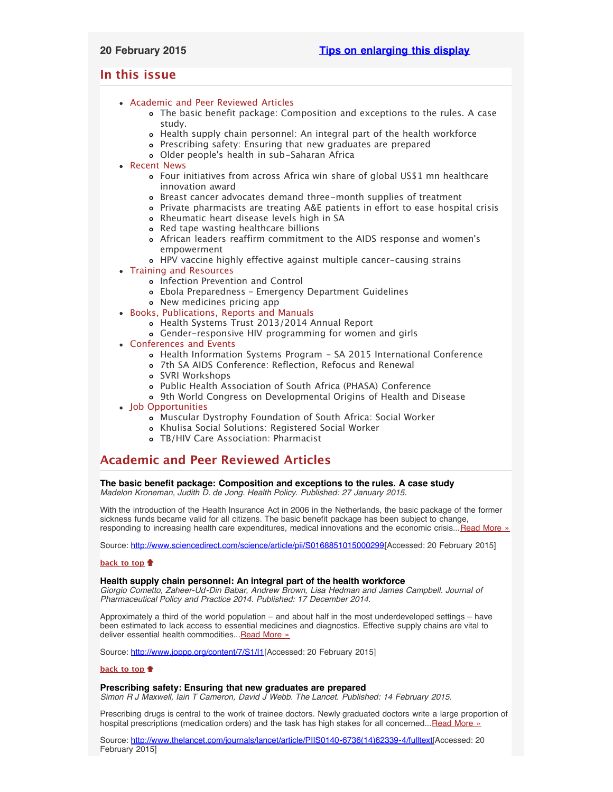# <span id="page-0-4"></span>**In this issue**

- [Academic and Peer Reviewed Articles](#page-0-0)
	- [The basic benefit package: Composition and exceptions to the rules. A case](#page-0-1) [study.](#page-0-1)
	- [Health supply chain personnel: An integral part of the health workforce](#page-0-2)
	- [Prescribing safety: Ensuring that new graduates are prepared](#page-0-3)
	- Older people['s health in sub-Saharan Africa](#page-1-0)
- [Recent News](#page-1-1)
	- [Four initiatives from across Africa win share of global US\\$1 mn healthcare](#page-1-2) [innovation award](#page-1-2)
	- [Breast cancer advocates demand three-month supplies of treatment](#page-1-3)
	- [Private pharmacists are treating A&E patients in effort to ease hospital crisis](#page-1-4)
	- [Rheumatic heart disease levels high in SA](#page-1-5)
	- [Red tape wasting healthcare billions](#page-1-6)
	- [African leaders reaffirm commitment to the AIDS response and women](#page-1-7)'s [empowerment](#page-1-7)
	- [HPV vaccine highly effective against multiple cancer-causing strains](#page-2-0)
- [Training and Resources](#page-2-1)
	- o [Infection Prevention and Control](#page-2-2)
	- [Ebola Preparedness Emergency Department Guidelines](#page-2-3)
	- [New medicines pricing app](#page-2-4)
- [Books, Publications, Reports and Manuals](#page-2-5)
	- [Health Systems Trust 2013/2014 Annual Report](#page-2-6)
	- [Gender-responsive HIV programming for women and girls](#page-2-7)
- [Conferences and Events](#page-2-8)
	- [Health Information Systems Program SA 2015 International Conference](#page-2-9)
	- [7th SA AIDS Conference: Reflection, Refocus and Renewal](#page-2-10)
	- [SVRI Workshops](#page-3-0)
	- [Public Health Association of South Africa \(PHASA\) Conference](#page-3-1)
	- [9th World Congress on Developmental Origins of Health and Disease](#page-3-2)
- [Job Opportunities](#page-3-3)
	- [Muscular Dystrophy Foundation of South Africa: Social Worker](#page-3-4)
	- [Khulisa Social Solutions: Registered Social Worker](#page-3-5)
	- [TB/HIV Care Association: Pharmacist](#page-3-6)

# <span id="page-0-0"></span>**Academic and Peer Reviewed Articles**

# <span id="page-0-1"></span>**The basic benefit package: Composition and exceptions to the rules. A case study**

*Madelon Kroneman, Judith D. de Jong. Health Policy. Published: 27 January 2015.*

With the introduction of the Health Insurance Act in 2006 in the Netherlands, the basic package of the former sickness funds became valid for all citizens. The basic benefit package has been subject to change, responding to increasing health care expenditures, medical innovations and the economic crisis...[Read More »](http://www.sciencedirect.com/science/article/pii/S0168851015000299)

Source: [http://www.sciencedirect.com/science/article/pii/S0168851015000299\[](http://www.sciencedirect.com/science/article/pii/S0168851015000299)Accessed: 20 February 2015]

# **[back to top](#page-0-4)**

### <span id="page-0-2"></span>**Health supply chain personnel: An integral part of the health workforce**

*Giorgio Cometto, Zaheer-Ud-Din Babar, Andrew Brown, Lisa Hedman and James Campbell. Journal of Pharmaceutical Policy and Practice 2014. Published: 17 December 2014.*

Approximately a third of the world population – and about half in the most underdeveloped settings – have been estimated to lack access to essential medicines and diagnostics. Effective supply chains are vital to deliver essential health commodities... Read More »

Source: [http://www.joppp.org/content/7/S1/I1\[](http://www.joppp.org/content/7/S1/I1)Accessed: 20 February 2015]

## **[back to top](#page-0-4)**

# <span id="page-0-3"></span>**Prescribing safety: Ensuring that new graduates are prepared**

*Simon R J Maxwell, Iain T Cameron, David J Webb. The Lancet. Published: 14 February 2015.*

Prescribing drugs is central to the work of trainee doctors. Newly graduated doctors write a large proportion of hospital prescriptions (medication orders) and the task has high stakes for all concerned... [Read More »](http://www.thelancet.com/journals/lancet/article/PIIS0140-6736(14)62339-4/fulltext)

Source: [http://www.thelancet.com/journals/lancet/article/PIIS0140-6736\(14\)62339-4/fulltext\[](http://www.thelancet.com/journals/lancet/article/PIIS0140-6736(14)62339-4/fulltext)Accessed: 20 February 2015]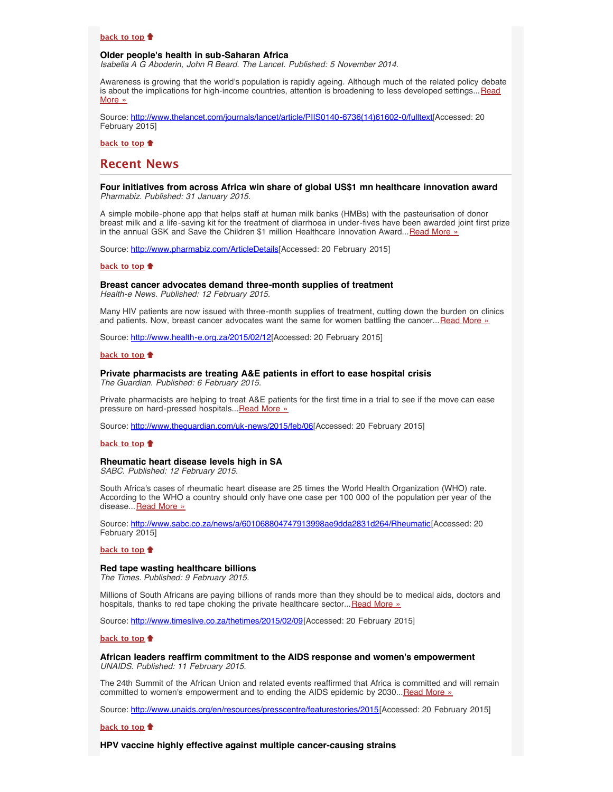# **[back to top](#page-0-4)**

# <span id="page-1-0"></span>**Older people's health in sub-Saharan Africa**

*Isabella A G Aboderin, John R Beard. The Lancet. Published: 5 November 2014.*

Awareness is growing that the world's population is rapidly ageing. Although much of the related policy debate is about the implications for high-income countries, attention is broadening to less developed settings... [Read](http://www.thelancet.com/journals/lancet/article/PIIS0140-6736(14)61602-0/fulltext) [More »](http://www.thelancet.com/journals/lancet/article/PIIS0140-6736(14)61602-0/fulltext)

Source: [http://www.thelancet.com/journals/lancet/article/PIIS0140-6736\(14\)61602-0/fulltext\[](http://www.thelancet.com/journals/lancet/article/PIIS0140-6736(14)61602-0/fulltext)Accessed: 20 February 2015]

**[back to top](#page-0-4)**

# <span id="page-1-1"></span>**Recent News**

### <span id="page-1-2"></span>**Four initiatives from across Africa win share of global US\$1 mn healthcare innovation award** *Pharmabiz. Published: 31 January 2015.*

A simple mobile-phone app that helps staff at human milk banks (HMBs) with the pasteurisation of donor breast milk and a life-saving kit for the treatment of diarrhoea in under-fives have been awarded joint first prize in the annual GSK and Save the Children \$1 million Healthcare Innovation Award...[Read More »](http://www.pharmabiz.com/ArticleDetails.aspx?aid=86475&sid=2)

Source: [http://www.pharmabiz.com/ArticleDetails\[](http://www.pharmabiz.com/ArticleDetails.aspx?aid=86475&sid=2)Accessed: 20 February 2015]

#### **[back to top](#page-0-4)**

# <span id="page-1-3"></span>**Breast cancer advocates demand three-month supplies of treatment**

*Health-e News. Published: 12 February 2015.*

Many HIV patients are now issued with three-month supplies of treatment, cutting down the burden on clinics and patients. Now, breast cancer advocates want the same for women battling the cancer... [Read More »](http://www.hst.org.za/news/breast-cancer-advocates-demand-three-month-supplies-treatment)

Source: [http://www.health-e.org.za/2015/02/12](http://www.health-e.org.za/2015/02/12/breast-cancer-advocates-demand-three-month-supplies-treatment/)[Accessed: 20 February 2015]

#### **[back to top](#page-0-4)**

#### <span id="page-1-4"></span>**Private pharmacists are treating A&E patients in effort to ease hospital crisis** *The Guardian. Published: 6 February 2015.*

Private pharmacists are helping to treat A&E patients for the first time in a trial to see if the move can ease pressure on hard-pressed hospitals... [Read More »](http://www.theguardian.com/uk-news/2015/feb/06/private-pharmacists-treating-a-and-e-patients-hospitals-crisis)

Source: [http://www.theguardian.com/uk-news/2015/feb/06](http://www.theguardian.com/uk-news/2015/feb/06/private-pharmacists-treating-a-and-e-patients-hospitals-crisis)[Accessed: 20 February 2015]

### **[back to top](#page-0-4)**

# <span id="page-1-5"></span>**Rheumatic heart disease levels high in SA**

*SABC. Published: 12 February 2015.*

South Africa's cases of rheumatic heart disease are 25 times the World Health Organization (WHO) rate. According to the WHO a country should only have one case per 100 000 of the population per year of the disease... [Read More »](http://www.hst.org.za/news/rheumatic-heart-disease-levels-high-sa)

Source: [http://www.sabc.co.za/news/a/601068804747913998ae9dda2831d264/Rheumatic\[](http://www.sabc.co.za/news/a/601068804747913998ae9dda2831d264/Rheumatic-heart-disease-levels-high-in-SA-20150212)Accessed: 20 February 2015]

#### **[back to top](#page-0-4)**

#### <span id="page-1-6"></span>**Red tape wasting healthcare billions**

*The Times. Published: 9 February 2015.*

Millions of South Africans are paying billions of rands more than they should be to medical aids, doctors and hospitals, thanks to red tape choking the private healthcare sector... [Read More »](http://www.timeslive.co.za/thetimes/2015/02/09/red-tape-wasting-healthcare-billions)

Source: [http://www.timeslive.co.za/thetimes/2015/02/09\[](http://www.timeslive.co.za/thetimes/2015/02/09/red-tape-wasting-healthcare-billions)Accessed: 20 February 2015]

### **[back to top](#page-0-4)**

<span id="page-1-7"></span>**African leaders reaffirm commitment to the AIDS response and women's empowerment** *UNAIDS. Published: 11 February 2015.*

The 24th Summit of the African Union and related events reaffirmed that Africa is committed and will remain committed to women's empowerment and to ending the AIDS epidemic by 2030... [Read More »](http://www.unaids.org/en/resources/presscentre/featurestories/2015/february/20150211_africanleaders)

Source: [http://www.unaids.org/en/resources/presscentre/featurestories/2015](http://www.unaids.org/en/resources/presscentre/featurestories/2015/february/20150211_africanleaders)[Accessed: 20 February 2015]

#### **[back to top](#page-0-4)**

**HPV vaccine highly effective against multiple cancer-causing strains**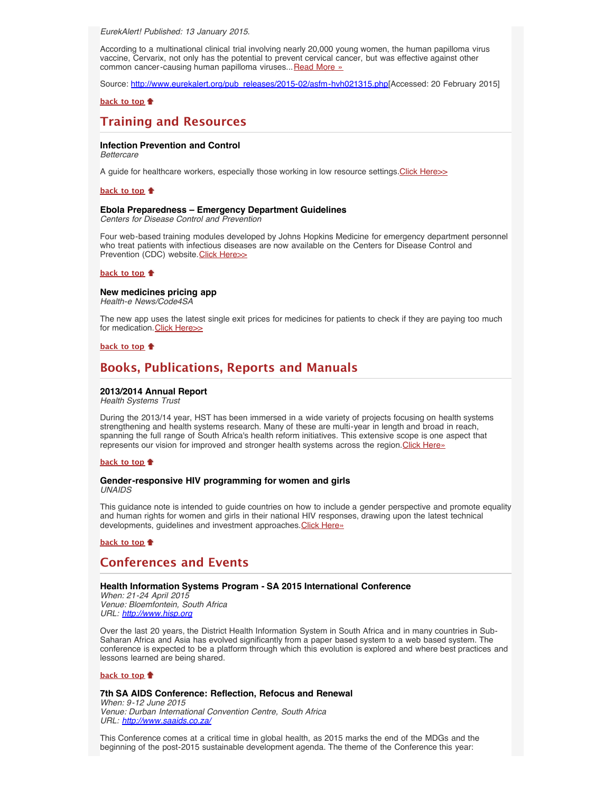<span id="page-2-0"></span>*EurekAlert! Published: 13 January 2015.*

According to a multinational clinical trial involving nearly 20,000 young women, the human papilloma virus vaccine, Cervarix, not only has the potential to prevent cervical cancer, but was effective against other common cancer-causing human papilloma viruses... [Read More »](http://www.hst.org.za/news/hpv-vaccine-highly-effective-against-multiple-cancer-causing-strains)

Source: [http://www.eurekalert.org/pub\\_releases/2015-02/asfm-hvh021315.php](http://www.eurekalert.org/pub_releases/2015-02/asfm-hvh021315.php)[Accessed: 20 February 2015]

**[back to top](#page-0-4)**

# <span id="page-2-1"></span>**Training and Resources**

# <span id="page-2-2"></span>**Infection Prevention and Control**

*Bettercare*

A guide for healthcare workers, especially those working in low resource settings. Click Here>>

# **[back to top](#page-0-4)**

#### <span id="page-2-3"></span>**Ebola Preparedness – Emergency Department Guidelines**

*Centers for Disease Control and Prevention*

Four web-based training modules developed by Johns Hopkins Medicine for emergency department personnel who treat patients with infectious diseases are now available on the Centers for Disease Control and Prevention (CDC) website. [Click Here>>](http://www.cdc.gov/vhf/ebola/healthcare-us/emergency-services/emergency-department-training.html/)

#### **[back to top](#page-0-4)**

### <span id="page-2-4"></span>**New medicines pricing app**

*Health-e News/Code4SA*

The new app uses the latest single exit prices for medicines for patients to check if they are paying too much for medication. [Click Here>>](http://www.health-e.org.za/2015/02/12/health-e-news-code4sa-launch-new-medicines-pricing-app/)

#### **[back to top](#page-0-4)**

# <span id="page-2-5"></span>**Books, Publications, Reports and Manuals**

## <span id="page-2-6"></span>**2013/2014 Annual Report**

*Health Systems Trust*

During the 2013/14 year, HST has been immersed in a wide variety of projects focusing on health systems strengthening and health systems research. Many of these are multi-year in length and broad in reach, spanning the full range of South Africa's health reform initiatives. This extensive scope is one aspect that represents our vision for improved and stronger health systems across the region. [Click Here»](http://www.hst.org.za/publications/annual-report-201314)

#### **[back to top](#page-0-4)**

#### <span id="page-2-7"></span>**Gender-responsive HIV programming for women and girls** *UNAIDS*

This guidance note is intended to guide countries on how to include a gender perspective and promote equality and human rights for women and girls in their national HIV responses, drawing upon the latest technical developments, guidelines and investment approaches. [Click Here»](http://www.unaids.org/en/resources/documents/2014/genderresponsiveHIVprogramming)

# **[back to top](#page-0-4)**

# <span id="page-2-8"></span>**Conferences and Events**

#### <span id="page-2-9"></span>**Health Information Systems Program - SA 2015 International Conference**

*When: 21-24 April 2015 Venue: Bloemfontein, South Africa URL: [http://www.hisp.org](http://www.hisp.org/)*

Over the last 20 years, the District Health Information System in South Africa and in many countries in Sub-Saharan Africa and Asia has evolved significantly from a paper based system to a web based system. The conference is expected to be a platform through which this evolution is explored and where best practices and lessons learned are being shared.

# **[back to top](#page-0-4)**

<span id="page-2-10"></span>**7th SA AIDS Conference: Reflection, Refocus and Renewal** *When: 9-12 June 2015*

*Venue: Durban International Convention Centre, South Africa URL: <http://www.saaids.co.za/>*

This Conference comes at a critical time in global health, as 2015 marks the end of the MDGs and the beginning of the post-2015 sustainable development agenda. The theme of the Conference this year: